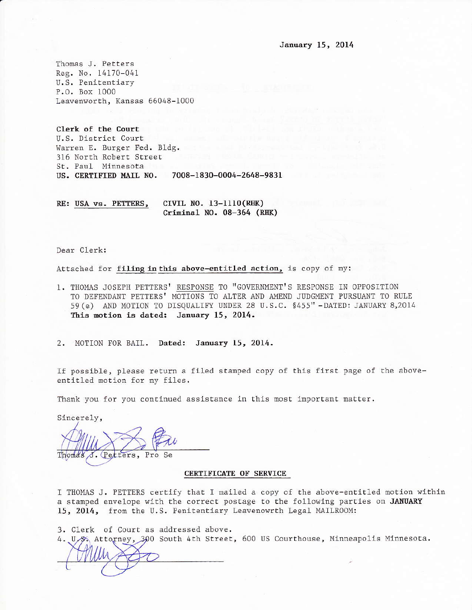Thomas J. Petters Reg. No. 14170-041 U.S. Penitentiary P.O. Box 1000 Leavenworth, Kansas 66048-1000

Clerk of the Court U.S. District Court Warren E. Burger Fed. Bldg. 316 North Robert Street St. Paul Minnesota US. CERTIFIED MAIL NO. 7008-1830-0004-2648-9831

RE: USA vs. PETTERS, CIVIL NO. 13-1110(RHK) Criminal NO. 08-364 (RHK)

Dear Clerk:

Attached for filing in this above-entitled action, is copy of my:

1. THOMAS JOSEPH PETTERS' RESPONSE TO "GOVERNMENT'S RESPONSE IN OPPOSITION TO DEFENDANT PETTERS' MOTIONS TO ALTER AND AMEND JUDGMENT PURSUANT TO RULE 59 (e) AND MOTION TO DISQUALIFY UNDER 28 U.S.C. \$455" - DATED: JANUARY 8,2014 This motion is dated: January 15, 2014.

2. MOTION FOR BAIL. Dated: January 15, 2014.

If possible, please return a filed stamped copy of this first page of the aboveentitled motion for my files.

Thank you for you continued assistance in this most important matter.

Sincerely,

J. (Petters, Pro Se

#### **CERTIFICATE OF SERVICE**

I THOMAS J. PETTERS certify that I mailed a copy of the above-entitled motion within a stamped envelope with the correct postage to the following parties on JANUARY 15, 2014, from the U.S. Penitentiary Leavenowrth Legal MAILROOM:

3. Clerk of Court as addressed above.

4. U.S. Attorney, 300 South 4th Street, 600 US Courthouse, Minneapolis Minnesota.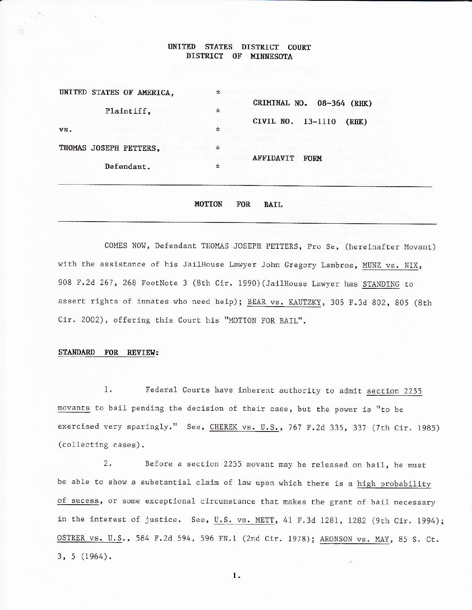#### **UNITED** STATES DISTRICT COURT DISTRICT OF MINNESOTA

| UNITED STATES OF AMERICA, | $\ast$                                  |  |
|---------------------------|-----------------------------------------|--|
| Plaintiff,                | CRIMINAL NO.<br>08-364 (RHK)<br>$\star$ |  |
|                           | CIVIL NO. 13-1110<br>(RHK)              |  |
| vs.                       | $\star$                                 |  |
| THOMAS JOSEPH PETTERS,    | $\star$                                 |  |
|                           | <b>AFFIDAVIT</b><br><b>FORM</b>         |  |
| Defendant.                | $\star$                                 |  |
|                           |                                         |  |
|                           |                                         |  |

**MOTION FOR BAIL** 

COMES NOW, Defendant THOMAS JOSEPH PETTERS, Pro Se, (hereinafter Movant) with the assistance of his JailHouse Lawyer John Gregory Lambros, MUNZ vs. NIX, 908 F.2d 267, 268 FootNote 3 (8th Cir. 1990) (JailHouse Lawyer has STANDING to assert rights of inmates who need help); BEAR vs. KAUTZKY, 305 F.3d 802, 805 (8th Cir. 2002), offering this Court his "MOTION FOR BAIL".

# STANDARD FOR REVIEW:

 $1.$ Federal Courts have inherent authority to admit section 2255 movants to bail pending the decision of their case, but the power is "to be exercised very sparingly." See, CHEREK vs. U.S., 767 F.2d 335, 337 (7th Cir. 1985) (collecting cases).

 $2.$ Before a section 2255 movant may be released on bail, he must be able to show a substantial claim of law upon which there is a high probability of sucess, or some exceptional circumstance that makes the grant of bail necessary in the interest of justice. See, U.S. vs. METT, 41 F.3d 1281, 1282 (9th Cir. 1994); OSTRER vs. U.S., 584 F.2d 594, 596 FN.1 (2nd Cir. 1978); ARONSON vs. MAY, 85 S. Ct.  $3, 5 (1964).$ 

1.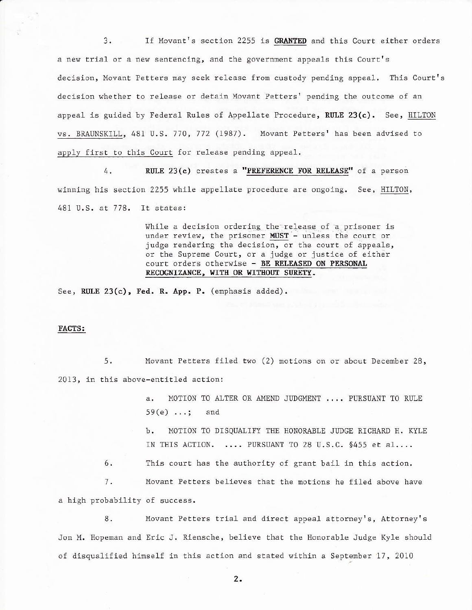$3.$ If Movant's section 2255 is GRANTED and this Court either orders a new trial or a new sentencing, and the government appeals this Court's decision, Movant Petters may seek release from custody pending appeal. This Court's decision whether to release or detain Movant Petters' pending the outcome of an appeal is guided by Federal Rules of Appellate Procedure, RULE 23(c). See, HILTON vs. BRAUNSKILL, 481 U.S. 770, 772 (1987). Movant Petters' has been advised to apply first to this Court for release pending appeal.

RULE 23(c) creates a "PREFERENCE FOR RELEASE" of a person 4. winning his section 2255 while appellate procedure are ongoing. See, HILTON, 481 U.S. at 778. It states:

> While a decision ordering the release of a prisoner is under review, the prisoner MUST - unless the court or judge rendering the decision, or the court of appeals, or the Supreme Court, or a judge or justice of either court orders otherwise - BE RELEASED ON PERSONAL RECOGNIZANCE, WITH OR WITHOUT SURETY.

See, RULE 23(c), Fed. R. App. P. (emphasis added).

### FACTS:

Movant Petters filed two (2) motions on or about December 28,  $5.$ 2013, in this above-entitled action:

> MOTION TO ALTER OR AMEND JUDGMENT .... PURSUANT TO RULE a.  $59(e)$  ...; and

MOTION TO DISQUALIFY THE HONORABLE JUDGE RICHARD H. KYLE Ъ. IN THIS ACTION. .... PURSUANT TO 28 U.S.C. §455 et al....

 $6.$ This court has the authority of grant bail in this action.

7. Movant Petters believes that the motions he filed above have

a high probability of success.

8. Movant Petters trial and direct appeal attorney's, Attorney's Jon M. Hopeman and Eric J. Riensche, believe that the Honorable Judge Kyle should of disqualified himself in this action and stated within a September 17, 2010